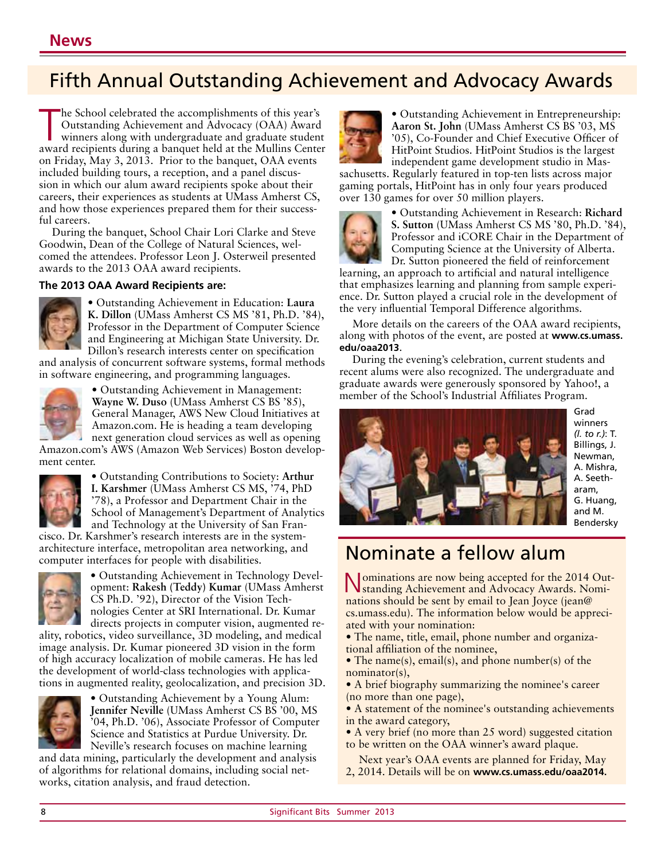### Fifth Annual Outstanding Achievement and Advocacy Awards

The School celebrated the accomplishments of this year's Outstanding Achievement and Advocacy (OAA) Award winners along with undergraduate and graduate student award recipients during a banquet held at the Mullins Center he School celebrated the accomplishments of this year's Outstanding Achievement and Advocacy (OAA) Award winners along with undergraduate and graduate student on Friday, May 3, 2013. Prior to the banquet, OAA events included building tours, a reception, and a panel discussion in which our alum award recipients spoke about their careers, their experiences as students at UMass Amherst CS, and how those experiences prepared them for their successful careers.

During the banquet, School Chair Lori Clarke and Steve Goodwin, Dean of the College of Natural Sciences, welcomed the attendees. Professor Leon J. Osterweil presented awards to the 2013 OAA award recipients.

### **The 2013 OAA Award Recipients are:**



• Outstanding Achievement in Education: **Laura K. Dillon** (UMass Amherst CS MS '81, Ph.D. '84), Professor in the Department of Computer Science and Engineering at Michigan State University. Dr. Dillon's research interests center on specification

and analysis of concurrent software systems, formal methods in software engineering, and programming languages.



• Outstanding Achievement in Management: **Wayne W. Duso** (UMass Amherst CS BS '85), General Manager, AWS New Cloud Initiatives at Amazon.com. He is heading a team developing next generation cloud services as well as opening

Amazon.com's AWS (Amazon Web Services) Boston development center.



• Outstanding Contributions to Society: **Arthur I. Karshmer** (UMass Amherst CS MS, '74, PhD '78), a Professor and Department Chair in the School of Management's Department of Analytics and Technology at the University of San Fran-

cisco. Dr. Karshmer's research interests are in the systemarchitecture interface, metropolitan area networking, and computer interfaces for people with disabilities.



• Outstanding Achievement in Technology Development: **Rakesh (Teddy) Kumar** (UMass Amherst CS Ph.D. '92), Director of the Vision Technologies Center at SRI International. Dr. Kumar directs projects in computer vision, augmented re-

ality, robotics, video surveillance, 3D modeling, and medical image analysis. Dr. Kumar pioneered 3D vision in the form of high accuracy localization of mobile cameras. He has led the development of world-class technologies with applications in augmented reality, geolocalization, and precision 3D.



• Outstanding Achievement by a Young Alum: **Jennifer Neville** (UMass Amherst CS BS '00, MS '04, Ph.D. '06), Associate Professor of Computer Science and Statistics at Purdue University. Dr. Neville's research focuses on machine learning

and data mining, particularly the development and analysis of algorithms for relational domains, including social networks, citation analysis, and fraud detection.



• Outstanding Achievement in Entrepreneurship: **Aaron St. John** (UMass Amherst CS BS '03, MS '05), Co-Founder and Chief Executive Officer of HitPoint Studios. HitPoint Studios is the largest independent game development studio in Mas-

sachusetts. Regularly featured in top-ten lists across major gaming portals, HitPoint has in only four years produced over 130 games for over 50 million players.



• Outstanding Achievement in Research: **Richard S. Sutton** (UMass Amherst CS MS '80, Ph.D. '84), Professor and iCORE Chair in the Department of Computing Science at the University of Alberta. Dr. Sutton pioneered the field of reinforcement

learning, an approach to artificial and natural intelligence that emphasizes learning and planning from sample experience. Dr. Sutton played a crucial role in the development of the very influential Temporal Difference algorithms.

More details on the careers of the OAA award recipients, along with photos of the event, are posted at **www.cs.umass. edu/oaa2013**.

During the evening's celebration, current students and recent alums were also recognized. The undergraduate and graduate awards were generously sponsored by Yahoo!, a member of the School's Industrial Affiliates Program.



Grad winners *(l. to r.)*: T. Billings, J. Newman, A. Mishra, A. Seetharam, G. Huang, and M. Bendersky

### Nominate a fellow alum

Nominations are now being accepted for the 2014 Out-standing Achievement and Advocacy Awards. Nominations should be sent by email to Jean Joyce (jean@ cs.umass.edu). The information below would be appreciated with your nomination:

• The name, title, email, phone number and organizational affiliation of the nominee,

• The name(s), email(s), and phone number(s) of the nominator(s),

• A brief biography summarizing the nominee's career (no more than one page),

• A statement of the nominee's outstanding achievements in the award category,

• A very brief (no more than 25 word) suggested citation to be written on the OAA winner's award plaque.

Next year's OAA events are planned for Friday, May 2, 2014. Details will be on **www.cs.umass.edu/oaa2014.**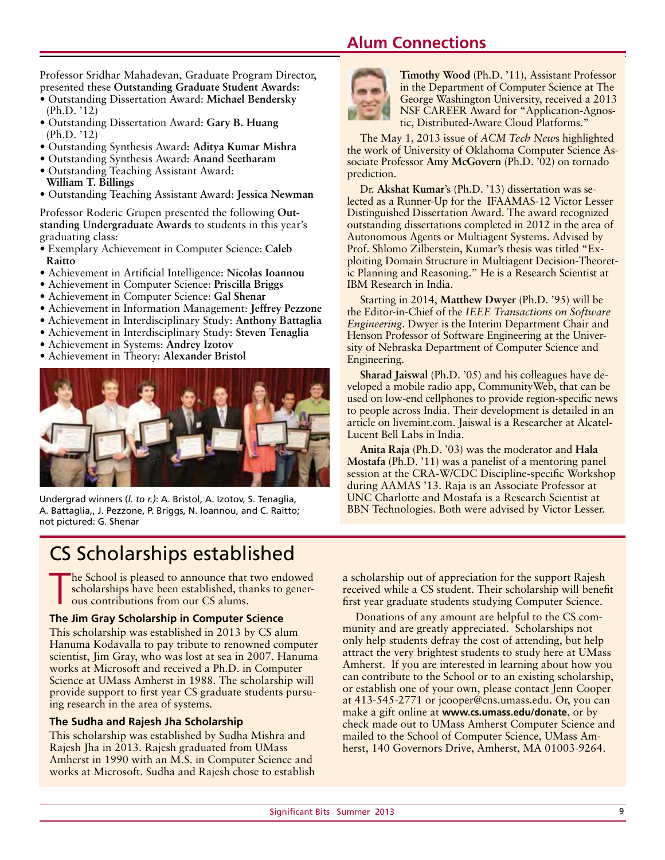### **Alum Connections**

Professor Sridhar Mahadevan, Graduate Program Director, presented these **Outstanding Graduate Student Awards:**

- Outstanding Dissertation Award: **Michael Bendersky** (Ph.D. '12)
- Outstanding Dissertation Award: **Gary B. Huang**  (Ph.D. '12)
- Outstanding Synthesis Award: **Aditya Kumar Mishra**
- Outstanding Synthesis Award: **Anand Seetharam**
- Outstanding Teaching Assistant Award:
- **William T. Billings**
- Outstanding Teaching Assistant Award: **Jessica Newman**

Professor Roderic Grupen presented the following **Outstanding Undergraduate Awards** to students in this year's graduating class:

- Exemplary Achievement in Computer Science: **Caleb Raitto**
- Achievement in Artificial Intelligence: **Nicolas Ioannou**
- Achievement in Computer Science: **Priscilla Briggs**
- Achievement in Computer Science: **Gal Shenar**
- Achievement in Information Management: **Jeffrey Pezzone**
- Achievement in Interdisciplinary Study: **Anthony Battaglia**
- Achievement in Interdisciplinary Study: **Steven Tenaglia**
- Achievement in Systems: **Andrey Izotov**
- Achievement in Theory: **Alexander Bristol**



Undergrad winners (*l. to r.)*: A. Bristol, A. Izotov, S. Tenaglia, A. Battaglia,, J. Pezzone, P. Briggs, N. Ioannou, and C. Raitto; not pictured: G. Shenar

## CS Scholarships established

T he School is pleased to announce that two endowed scholarships have been established, thanks to generous contributions from our CS alums.

### **The Jim Gray Scholarship in Computer Science**

This scholarship was established in 2013 by CS alum Hanuma Kodavalla to pay tribute to renowned computer scientist, Jim Gray, who was lost at sea in 2007. Hanuma works at Microsoft and received a Ph.D. in Computer Science at UMass Amherst in 1988. The scholarship will provide support to first year CS graduate students pursuing research in the area of systems.

### **The Sudha and Rajesh Jha Scholarship**

This scholarship was established by Sudha Mishra and Rajesh Jha in 2013. Rajesh graduated from UMass Amherst in 1990 with an M.S. in Computer Science and works at Microsoft. Sudha and Rajesh chose to establish

**Timothy Wood** (Ph.D. '11), Assistant Professor in the Department of Computer Science at The George Washington University, received a 2013 NSF CAREER Award for "Application-Agnostic, Distributed-Aware Cloud Platforms."

The May 1, 2013 issue of *ACM Tech New*s highlighted the work of University of Oklahoma Computer Science Associate Professor **Amy McGovern** (Ph.D. '02) on tornado prediction.

Dr. **Akshat Kumar**'s (Ph.D. '13) dissertation was selected as a Runner-Up for the IFAAMAS-12 Victor Lesser Distinguished Dissertation Award. The award recognized outstanding dissertations completed in 2012 in the area of Autonomous Agents or Multiagent Systems. Advised by Prof. Shlomo Zilberstein, Kumar's thesis was titled "Exploiting Domain Structure in Multiagent Decision-Theoretic Planning and Reasoning." He is a Research Scientist at IBM Research in India.

Starting in 2014, **Matthew Dwyer** (Ph.D. '95) will be the Editor-in-Chief of the *IEEE Transactions on Software Engineering*. Dwyer is the Interim Department Chair and Henson Professor of Software Engineering at the University of Nebraska Department of Computer Science and Engineering.

**Sharad Jaiswal** (Ph.D. '05) and his colleagues have developed a mobile radio app, CommunityWeb, that can be used on low-end cellphones to provide region-specific news to people across India. Their development is detailed in an article on livemint.com. Jaiswal is a Researcher at Alcatel-Lucent Bell Labs in India.

**Anita Raja** (Ph.D. '03) was the moderator and **Hala Mostafa** (Ph.D. '11) was a panelist of a mentoring panel session at the CRA-W/CDC Discipline-specific Workshop during AAMAS '13. Raja is an Associate Professor at UNC Charlotte and Mostafa is a Research Scientist at BBN Technologies. Both were advised by Victor Lesser.

a scholarship out of appreciation for the support Rajesh received while a CS student. Their scholarship will benefit first year graduate students studying Computer Science.

Donations of any amount are helpful to the CS community and are greatly appreciated. Scholarships not only help students defray the cost of attending, but help attract the very brightest students to study here at UMass Amherst. If you are interested in learning about how you can contribute to the School or to an existing scholarship, or establish one of your own, please contact Jenn Cooper at 413-545-2771 or jcooper@cns.umass.edu. Or, you can make a gift online at **www.cs.umass.edu/donate**, or by check made out to UMass Amherst Computer Science and mailed to the School of Computer Science, UMass Amherst, 140 Governors Drive, Amherst, MA 01003-9264.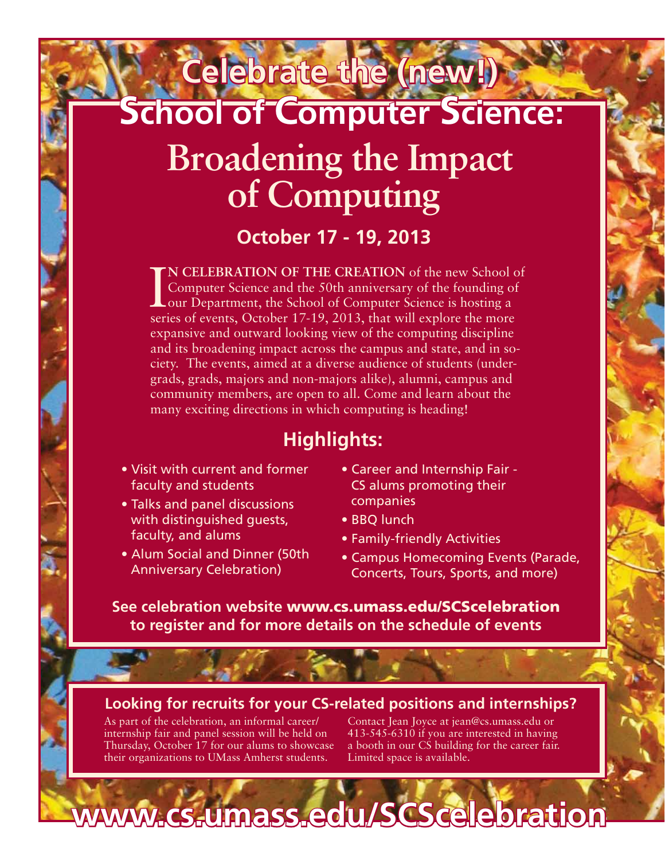# **Celebrate the (new!)**

## **School of Computer Science:**

# **Broadening the Impact of Computing**

## **October 17 - 19, 2013**

IN CELEBRATION OF THE CREATION of the new School computer Science and the 50th anniversary of the founding of our Department, the School of Computer Science is hosting a series of events, October 17-19, 2013, that will exp **N CELEBRATION OF THE CREATION** of the new School of Computer Science and the 50th anniversary of the founding of our Department, the School of Computer Science is hosting a expansive and outward looking view of the computing discipline and its broadening impact across the campus and state, and in society. The events, aimed at a diverse audience of students (undergrads, grads, majors and non-majors alike), alumni, campus and community members, are open to all. Come and learn about the many exciting directions in which computing is heading!

## **Highlights:**

- Visit with current and former faculty and students
- Talks and panel discussions with distinguished guests, faculty, and alums
- Alum Social and Dinner (50th Anniversary Celebration)
- Career and Internship Fair CS alums promoting their companies
- BBQ lunch
- Family-friendly Activities
- Campus Homecoming Events (Parade, Concerts, Tours, Sports, and more)

**See celebration website** www.cs.umass.edu/SCScelebration **to register and for more details on the schedule of events**

### **Looking for recruits for your CS-related positions and internships?**

As part of the celebration, an informal career/ internship fair and panel session will be held on Thursday, October 17 for our alums to showcase their organizations to UMass Amherst students.

Contact Jean Joyce at jean@cs.umass.edu or 413-545-6310 if you are interested in having a booth in our CS building for the career fair. Limited space is available.

# **www.cs.umass.edu/SCScelebration**